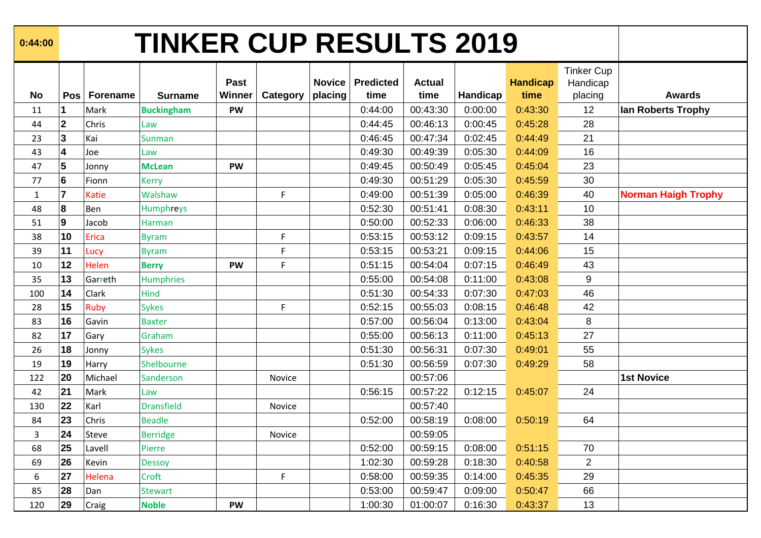| 0:44:00 |  |
|---------|--|
|---------|--|

## **0:44:00 TINKER CUP RESULTS 2019**

|              |                         |                 |                   |             |          |               |                  |               |          |                 | <b>Tinker Cup</b> |                            |
|--------------|-------------------------|-----------------|-------------------|-------------|----------|---------------|------------------|---------------|----------|-----------------|-------------------|----------------------------|
|              |                         |                 |                   | <b>Past</b> |          | <b>Novice</b> | <b>Predicted</b> | <b>Actual</b> |          | <b>Handicap</b> | Handicap          |                            |
| <b>No</b>    | Pos <sup>1</sup>        | <b>Forename</b> | <b>Surname</b>    | Winner      | Category | placing       | time             | time          | Handicap | time            | placing           | <b>Awards</b>              |
| 11           | $\overline{1}$          | Mark            | <b>Buckingham</b> | <b>PW</b>   |          |               | 0:44:00          | 00:43:30      | 0:00:00  | 0:43:30         | 12                | lan Roberts Trophy         |
| 44           | $\overline{2}$          | Chris           | Law               |             |          |               | 0:44:45          | 00:46:13      | 0:00:45  | 0:45:28         | 28                |                            |
| 23           | $\mathbf{3}$            | Kai             | Sunman            |             |          |               | 0:46:45          | 00:47:34      | 0:02:45  | 0:44:49         | 21                |                            |
| 43           | $\overline{\mathbf{4}}$ | Joe             | Law               |             |          |               | 0:49:30          | 00:49:39      | 0:05:30  | 0:44:09         | 16                |                            |
| 47           | $5\phantom{a}$          | Jonny           | <b>McLean</b>     | <b>PW</b>   |          |               | 0:49:45          | 00:50:49      | 0:05:45  | 0:45:04         | 23                |                            |
| 77           | $6\phantom{1}$          | Fionn           | <b>Kerry</b>      |             |          |               | 0:49:30          | 00:51:29      | 0:05:30  | 0:45:59         | 30                |                            |
| $\mathbf{1}$ | $\overline{7}$          | Katie           | Walshaw           |             | F        |               | 0:49:00          | 00:51:39      | 0:05:00  | 0:46:39         | 40                | <b>Norman Haigh Trophy</b> |
| 48           | 8                       | <b>Ben</b>      | Humphreys         |             |          |               | 0:52:30          | 00:51:41      | 0:08:30  | 0:43:11         | 10                |                            |
| 51           | 9                       | Jacob           | Harman            |             |          |               | 0:50:00          | 00:52:33      | 0:06:00  | 0:46:33         | 38                |                            |
| 38           | 10                      | Erica           | <b>Byram</b>      |             | F        |               | 0:53:15          | 00:53:12      | 0:09:15  | 0:43:57         | 14                |                            |
| 39           | 11                      | Lucy            | <b>Byram</b>      |             | F        |               | 0:53:15          | 00:53:21      | 0:09:15  | 0:44:06         | 15                |                            |
| 10           | 12                      | Helen           | <b>Berry</b>      | <b>PW</b>   | F        |               | 0:51:15          | 00:54:04      | 0:07:15  | 0:46:49         | 43                |                            |
| 35           | 13                      | Garreth         | <b>Humphries</b>  |             |          |               | 0:55:00          | 00:54:08      | 0:11:00  | 0:43:08         | $\boldsymbol{9}$  |                            |
| 100          | 14                      | Clark           | Hind              |             |          |               | 0:51:30          | 00:54:33      | 0:07:30  | 0:47:03         | 46                |                            |
| 28           | 15                      | Ruby            | <b>Sykes</b>      |             | F.       |               | 0:52:15          | 00:55:03      | 0:08:15  | 0:46:48         | 42                |                            |
| 83           | 16                      | Gavin           | <b>Baxter</b>     |             |          |               | 0:57:00          | 00:56:04      | 0:13:00  | 0:43:04         | 8                 |                            |
| 82           | 17                      | Gary            | Graham            |             |          |               | 0:55:00          | 00:56:13      | 0:11:00  | 0:45:13         | 27                |                            |
| 26           | 18                      | Jonny           | <b>Sykes</b>      |             |          |               | 0:51:30          | 00:56:31      | 0:07:30  | 0:49:01         | 55                |                            |
| 19           | 19                      | Harry           | Shelbourne        |             |          |               | 0:51:30          | 00:56:59      | 0:07:30  | 0:49:29         | 58                |                            |
| 122          | 20                      | Michael         | Sanderson         |             | Novice   |               |                  | 00:57:06      |          |                 |                   | <b>1st Novice</b>          |
| 42           | 21                      | Mark            | Law               |             |          |               | 0:56:15          | 00:57:22      | 0:12:15  | 0:45:07         | 24                |                            |
| 130          | 22                      | Karl            | <b>Dransfield</b> |             | Novice   |               |                  | 00:57:40      |          |                 |                   |                            |
| 84           | 23                      | Chris           | <b>Beadle</b>     |             |          |               | 0:52:00          | 00:58:19      | 0:08:00  | 0:50:19         | 64                |                            |
| 3            | 24                      | Steve           | <b>Berridge</b>   |             | Novice   |               |                  | 00:59:05      |          |                 |                   |                            |
| 68           | 25                      | Lavell          | Pierre            |             |          |               | 0:52:00          | 00:59:15      | 0:08:00  | 0:51:15         | 70                |                            |
| 69           | 26                      | Kevin           | <b>Dessoy</b>     |             |          |               | 1:02:30          | 00:59:28      | 0:18:30  | 0:40:58         | $\overline{2}$    |                            |
| 6            | 27                      | Helena          | Croft             |             | F        |               | 0:58:00          | 00:59:35      | 0:14:00  | 0:45:35         | 29                |                            |
| 85           | 28                      | Dan             | <b>Stewart</b>    |             |          |               | 0:53:00          | 00:59:47      | 0:09:00  | 0:50:47         | 66                |                            |
| 120          | 29                      | Craig           | <b>Noble</b>      | <b>PW</b>   |          |               | 1:00:30          | 01:00:07      | 0:16:30  | 0:43:37         | 13                |                            |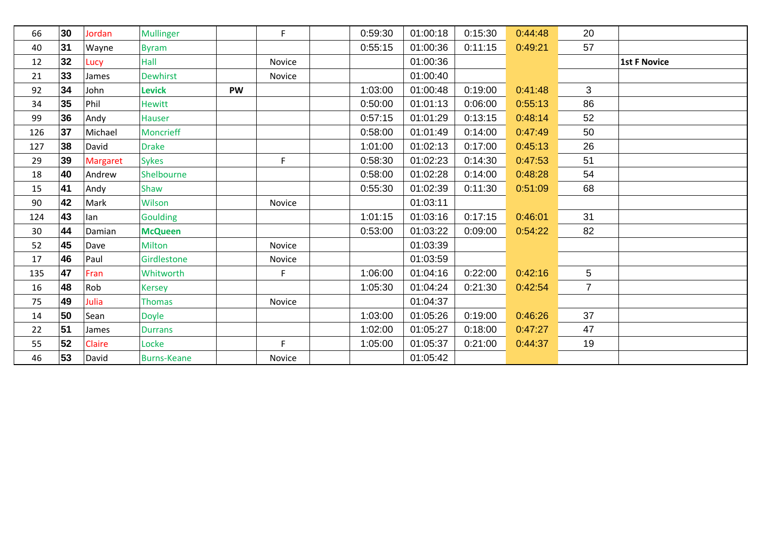| 66  | 30 | Jordan          | <b>Mullinger</b>   |           | F.     | 0:59:30 | 01:00:18 | 0:15:30 | 0:44:48 | 20             |                     |
|-----|----|-----------------|--------------------|-----------|--------|---------|----------|---------|---------|----------------|---------------------|
| 40  | 31 | Wayne           | <b>Byram</b>       |           |        | 0:55:15 | 01:00:36 | 0:11:15 | 0:49:21 | 57             |                     |
| 12  | 32 | Lucy            | Hall               |           | Novice |         | 01:00:36 |         |         |                | <b>1st F Novice</b> |
| 21  | 33 | James           | <b>Dewhirst</b>    |           | Novice |         | 01:00:40 |         |         |                |                     |
| 92  | 34 | John            | <b>Levick</b>      | <b>PW</b> |        | 1:03:00 | 01:00:48 | 0:19:00 | 0:41:48 | 3              |                     |
| 34  | 35 | Phil            | <b>Hewitt</b>      |           |        | 0:50:00 | 01:01:13 | 0:06:00 | 0:55:13 | 86             |                     |
| 99  | 36 | Andy            | Hauser             |           |        | 0:57:15 | 01:01:29 | 0:13:15 | 0:48:14 | 52             |                     |
| 126 | 37 | Michael         | <b>Moncrieff</b>   |           |        | 0:58:00 | 01:01:49 | 0:14:00 | 0:47:49 | 50             |                     |
| 127 | 38 | David           | <b>Drake</b>       |           |        | 1:01:00 | 01:02:13 | 0:17:00 | 0:45:13 | 26             |                     |
| 29  | 39 | <b>Margaret</b> | <b>Sykes</b>       |           | F      | 0:58:30 | 01:02:23 | 0:14:30 | 0:47:53 | 51             |                     |
| 18  | 40 | Andrew          | Shelbourne         |           |        | 0:58:00 | 01:02:28 | 0:14:00 | 0:48:28 | 54             |                     |
| 15  | 41 | Andy            | Shaw               |           |        | 0:55:30 | 01:02:39 | 0:11:30 | 0:51:09 | 68             |                     |
| 90  | 42 | Mark            | Wilson             |           | Novice |         | 01:03:11 |         |         |                |                     |
| 124 | 43 | lan             | <b>Goulding</b>    |           |        | 1:01:15 | 01:03:16 | 0:17:15 | 0:46:01 | 31             |                     |
| 30  | 44 | Damian          | <b>McQueen</b>     |           |        | 0:53:00 | 01:03:22 | 0:09:00 | 0:54:22 | 82             |                     |
| 52  | 45 | Dave            | <b>Milton</b>      |           | Novice |         | 01:03:39 |         |         |                |                     |
| 17  | 46 | Paul            | Girdlestone        |           | Novice |         | 01:03:59 |         |         |                |                     |
| 135 | 47 | Fran            | Whitworth          |           | F      | 1:06:00 | 01:04:16 | 0:22:00 | 0:42:16 | 5              |                     |
| 16  | 48 | Rob             | <b>Kersey</b>      |           |        | 1:05:30 | 01:04:24 | 0:21:30 | 0:42:54 | $\overline{7}$ |                     |
| 75  | 49 | Julia           | <b>Thomas</b>      |           | Novice |         | 01:04:37 |         |         |                |                     |
| 14  | 50 | Sean            | <b>Doyle</b>       |           |        | 1:03:00 | 01:05:26 | 0:19:00 | 0:46:26 | 37             |                     |
| 22  | 51 | James           | <b>Durrans</b>     |           |        | 1:02:00 | 01:05:27 | 0:18:00 | 0:47:27 | 47             |                     |
| 55  | 52 | Claire          | Locke              |           | F.     | 1:05:00 | 01:05:37 | 0:21:00 | 0:44:37 | 19             |                     |
| 46  | 53 | David           | <b>Burns-Keane</b> |           | Novice |         | 01:05:42 |         |         |                |                     |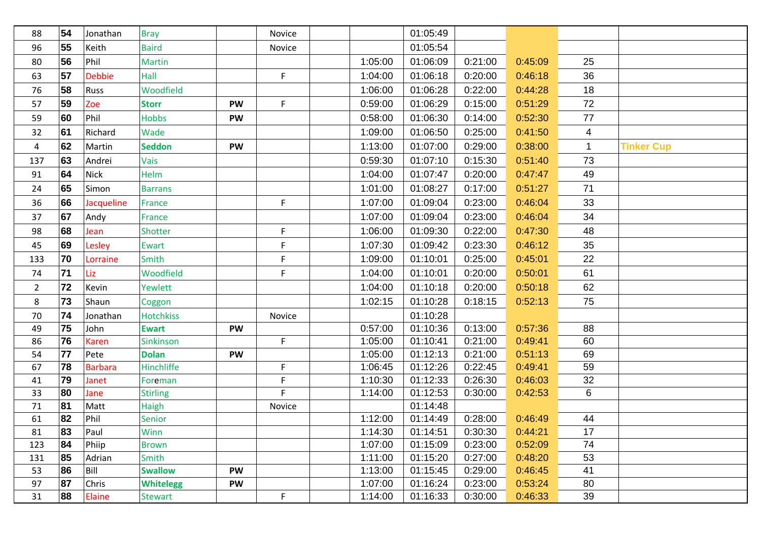| 88             | 54 | Jonathan       | <b>Bray</b>      |           | Novice |         | 01:05:49 |         |         |              |                   |
|----------------|----|----------------|------------------|-----------|--------|---------|----------|---------|---------|--------------|-------------------|
| 96             | 55 | Keith          | <b>Baird</b>     |           | Novice |         | 01:05:54 |         |         |              |                   |
| 80             | 56 | Phil           | <b>Martin</b>    |           |        | 1:05:00 | 01:06:09 | 0:21:00 | 0:45:09 | 25           |                   |
| 63             | 57 | <b>Debbie</b>  | Hall             |           | F      | 1:04:00 | 01:06:18 | 0:20:00 | 0:46:18 | 36           |                   |
| 76             | 58 | Russ           | Woodfield        |           |        | 1:06:00 | 01:06:28 | 0:22:00 | 0:44:28 | 18           |                   |
| 57             | 59 | Zoe            | <b>Storr</b>     | <b>PW</b> | F      | 0:59:00 | 01:06:29 | 0:15:00 | 0:51:29 | 72           |                   |
| 59             | 60 | Phil           | <b>Hobbs</b>     | <b>PW</b> |        | 0:58:00 | 01:06:30 | 0:14:00 | 0:52:30 | 77           |                   |
| 32             | 61 | Richard        | Wade             |           |        | 1:09:00 | 01:06:50 | 0:25:00 | 0:41:50 | 4            |                   |
| 4              | 62 | Martin         | <b>Seddon</b>    | <b>PW</b> |        | 1:13:00 | 01:07:00 | 0:29:00 | 0:38:00 | $\mathbf{1}$ | <b>Tinker Cup</b> |
| 137            | 63 | Andrei         | Vais             |           |        | 0:59:30 | 01:07:10 | 0:15:30 | 0:51:40 | 73           |                   |
| 91             | 64 | Nick           | Helm             |           |        | 1:04:00 | 01:07:47 | 0:20:00 | 0:47:47 | 49           |                   |
| 24             | 65 | Simon          | <b>Barrans</b>   |           |        | 1:01:00 | 01:08:27 | 0:17:00 | 0:51:27 | 71           |                   |
| 36             | 66 | Jacqueline     | France           |           | F      | 1:07:00 | 01:09:04 | 0:23:00 | 0:46:04 | 33           |                   |
| 37             | 67 | Andy           | France           |           |        | 1:07:00 | 01:09:04 | 0:23:00 | 0:46:04 | 34           |                   |
| 98             | 68 | Jean           | Shotter          |           | F      | 1:06:00 | 01:09:30 | 0:22:00 | 0:47:30 | 48           |                   |
| 45             | 69 | Lesley         | Ewart            |           | F      | 1:07:30 | 01:09:42 | 0:23:30 | 0:46:12 | 35           |                   |
| 133            | 70 | Lorraine       | Smith            |           | F      | 1:09:00 | 01:10:01 | 0:25:00 | 0:45:01 | 22           |                   |
| 74             | 71 | Liz            | Woodfield        |           | F      | 1:04:00 | 01:10:01 | 0:20:00 | 0:50:01 | 61           |                   |
| $\overline{2}$ | 72 | Kevin          | Yewlett          |           |        | 1:04:00 | 01:10:18 | 0:20:00 | 0:50:18 | 62           |                   |
| 8              | 73 | Shaun          | Coggon           |           |        | 1:02:15 | 01:10:28 | 0:18:15 | 0:52:13 | 75           |                   |
| 70             | 74 | Jonathan       | <b>Hotchkiss</b> |           | Novice |         | 01:10:28 |         |         |              |                   |
| 49             | 75 | John           | <b>Ewart</b>     | <b>PW</b> |        | 0:57:00 | 01:10:36 | 0:13:00 | 0:57:36 | 88           |                   |
| 86             | 76 | <b>Karen</b>   | Sinkinson        |           | F.     | 1:05:00 | 01:10:41 | 0:21:00 | 0:49:41 | 60           |                   |
| 54             | 77 | Pete           | <b>Dolan</b>     | <b>PW</b> |        | 1:05:00 | 01:12:13 | 0:21:00 | 0:51:13 | 69           |                   |
| 67             | 78 | <b>Barbara</b> | Hinchliffe       |           | F      | 1:06:45 | 01:12:26 | 0:22:45 | 0:49:41 | 59           |                   |
| 41             | 79 | Janet          | Foreman          |           | F      | 1:10:30 | 01:12:33 | 0:26:30 | 0:46:03 | 32           |                   |
| 33             | 80 | Jane           | <b>Stirling</b>  |           | F      | 1:14:00 | 01:12:53 | 0:30:00 | 0:42:53 | 6            |                   |
| 71             | 81 | Matt           | Haigh            |           | Novice |         | 01:14:48 |         |         |              |                   |
| 61             | 82 | Phil           | Senior           |           |        | 1:12:00 | 01:14:49 | 0:28:00 | 0:46:49 | 44           |                   |
| 81             | 83 | Paul           | Winn             |           |        | 1:14:30 | 01:14:51 | 0:30:30 | 0:44:21 | 17           |                   |
| 123            | 84 | Phiip          | <b>Brown</b>     |           |        | 1:07:00 | 01:15:09 | 0:23:00 | 0:52:09 | 74           |                   |
| 131            | 85 | Adrian         | Smith            |           |        | 1:11:00 | 01:15:20 | 0:27:00 | 0:48:20 | 53           |                   |
| 53             | 86 | Bill           | <b>Swallow</b>   | <b>PW</b> |        | 1:13:00 | 01:15:45 | 0:29:00 | 0:46:45 | 41           |                   |
| 97             | 87 | Chris          | <b>Whitelegg</b> | <b>PW</b> |        | 1:07:00 | 01:16:24 | 0:23:00 | 0:53:24 | 80           |                   |
| 31             | 88 | Elaine         | <b>Stewart</b>   |           | F      | 1:14:00 | 01:16:33 | 0:30:00 | 0:46:33 | 39           |                   |